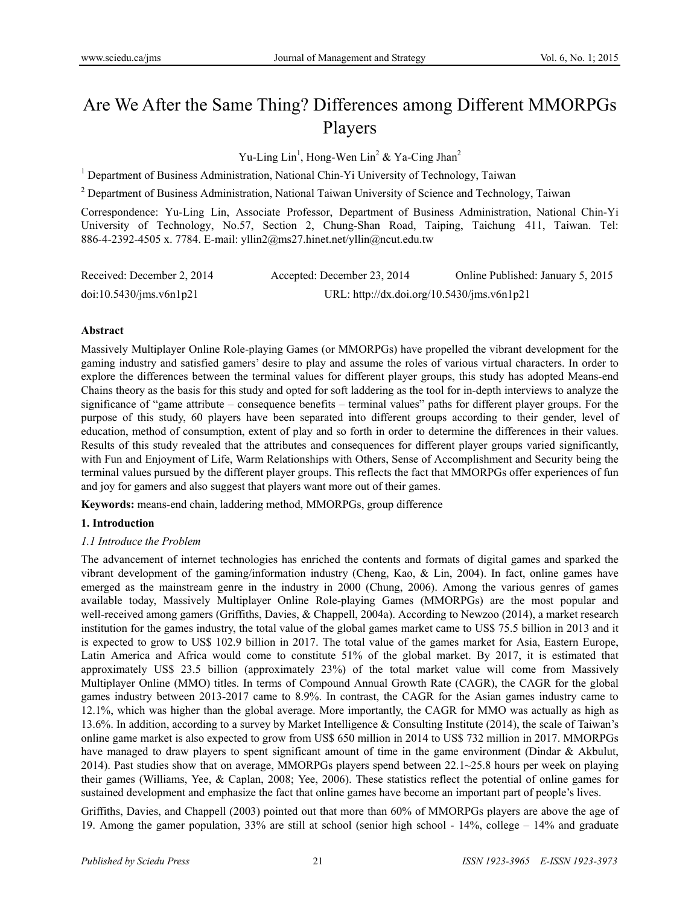# Are We After the Same Thing? Differences among Different MMORPGs Players

Yu-Ling  $\text{Lin}^1$ , Hong-Wen  $\text{Lin}^2$  & Ya-Cing Jhan<sup>2</sup>

<sup>1</sup> Department of Business Administration, National Chin-Yi University of Technology, Taiwan

<sup>2</sup> Department of Business Administration, National Taiwan University of Science and Technology, Taiwan

Correspondence: Yu-Ling Lin, Associate Professor, Department of Business Administration, National Chin-Yi University of Technology, No.57, Section 2, Chung-Shan Road, Taiping, Taichung 411, Taiwan. Tel: 886-4-2392-4505 x. 7784. E-mail: yllin2@ms27.hinet.net/yllin@ncut.edu.tw

| Received: December 2, 2014 | Accepted: December 23, 2014                | Online Published: January 5, 2015 |
|----------------------------|--------------------------------------------|-----------------------------------|
| doi:10.5430/ims.v6n1p21    | URL: http://dx.doi.org/10.5430/jms.v6n1p21 |                                   |

## **Abstract**

Massively Multiplayer Online Role-playing Games (or MMORPGs) have propelled the vibrant development for the gaming industry and satisfied gamers' desire to play and assume the roles of various virtual characters. In order to explore the differences between the terminal values for different player groups, this study has adopted Means-end Chains theory as the basis for this study and opted for soft laddering as the tool for in-depth interviews to analyze the significance of "game attribute – consequence benefits – terminal values" paths for different player groups. For the purpose of this study, 60 players have been separated into different groups according to their gender, level of education, method of consumption, extent of play and so forth in order to determine the differences in their values. Results of this study revealed that the attributes and consequences for different player groups varied significantly, with Fun and Enjoyment of Life, Warm Relationships with Others, Sense of Accomplishment and Security being the terminal values pursued by the different player groups. This reflects the fact that MMORPGs offer experiences of fun and joy for gamers and also suggest that players want more out of their games.

**Keywords:** means-end chain, laddering method, MMORPGs, group difference

## **1. Introduction**

## *1.1 Introduce the Problem*

The advancement of internet technologies has enriched the contents and formats of digital games and sparked the vibrant development of the gaming/information industry (Cheng, Kao, & Lin, 2004). In fact, online games have emerged as the mainstream genre in the industry in 2000 (Chung, 2006). Among the various genres of games available today, Massively Multiplayer Online Role-playing Games (MMORPGs) are the most popular and well-received among gamers (Griffiths, Davies, & Chappell, 2004a). According to Newzoo (2014), a market research institution for the games industry, the total value of the global games market came to US\$ 75.5 billion in 2013 and it is expected to grow to US\$ 102.9 billion in 2017. The total value of the games market for Asia, Eastern Europe, Latin America and Africa would come to constitute 51% of the global market. By 2017, it is estimated that approximately US\$ 23.5 billion (approximately 23%) of the total market value will come from Massively Multiplayer Online (MMO) titles. In terms of Compound Annual Growth Rate (CAGR), the CAGR for the global games industry between 2013-2017 came to 8.9%. In contrast, the CAGR for the Asian games industry came to 12.1%, which was higher than the global average. More importantly, the CAGR for MMO was actually as high as 13.6%. In addition, according to a survey by Market Intelligence & Consulting Institute (2014), the scale of Taiwan's online game market is also expected to grow from US\$ 650 million in 2014 to US\$ 732 million in 2017. MMORPGs have managed to draw players to spent significant amount of time in the game environment (Dindar & Akbulut, 2014). Past studies show that on average, MMORPGs players spend between 22.1~25.8 hours per week on playing their games (Williams, Yee, & Caplan, 2008; Yee, 2006). These statistics reflect the potential of online games for sustained development and emphasize the fact that online games have become an important part of people's lives.

Griffiths, Davies, and Chappell (2003) pointed out that more than 60% of MMORPGs players are above the age of 19. Among the gamer population, 33% are still at school (senior high school - 14%, college – 14% and graduate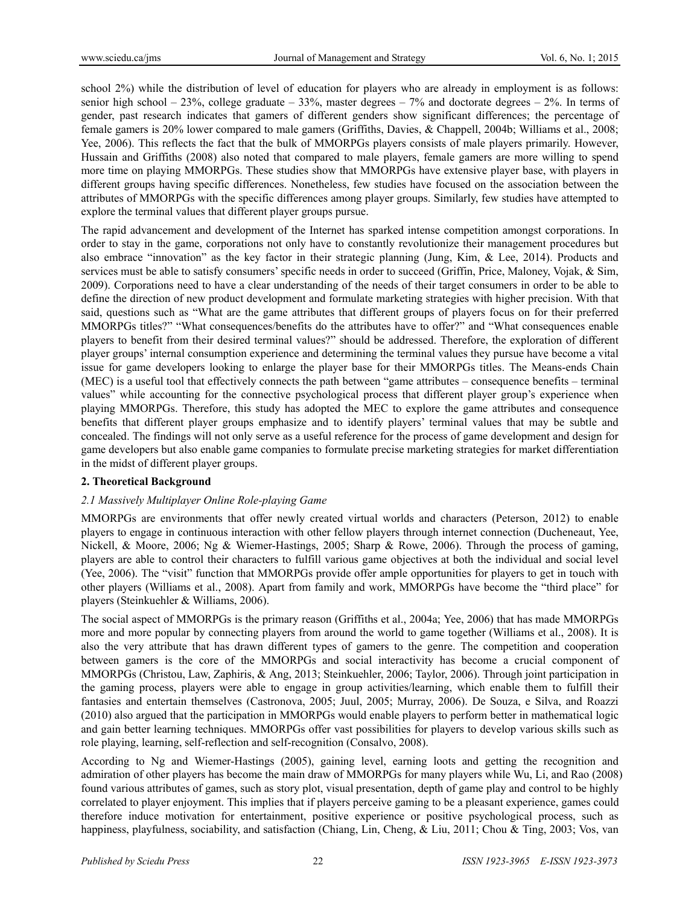school 2%) while the distribution of level of education for players who are already in employment is as follows: senior high school – 23%, college graduate – 33%, master degrees – 7% and doctorate degrees – 2%. In terms of gender, past research indicates that gamers of different genders show significant differences; the percentage of female gamers is 20% lower compared to male gamers (Griffiths, Davies, & Chappell, 2004b; Williams et al., 2008; Yee, 2006). This reflects the fact that the bulk of MMORPGs players consists of male players primarily. However, Hussain and Griffiths (2008) also noted that compared to male players, female gamers are more willing to spend more time on playing MMORPGs. These studies show that MMORPGs have extensive player base, with players in different groups having specific differences. Nonetheless, few studies have focused on the association between the attributes of MMORPGs with the specific differences among player groups. Similarly, few studies have attempted to explore the terminal values that different player groups pursue.

The rapid advancement and development of the Internet has sparked intense competition amongst corporations. In order to stay in the game, corporations not only have to constantly revolutionize their management procedures but also embrace "innovation" as the key factor in their strategic planning (Jung, Kim, & Lee, 2014). Products and services must be able to satisfy consumers' specific needs in order to succeed (Griffin, Price, Maloney, Vojak, & Sim, 2009). Corporations need to have a clear understanding of the needs of their target consumers in order to be able to define the direction of new product development and formulate marketing strategies with higher precision. With that said, questions such as "What are the game attributes that different groups of players focus on for their preferred MMORPGs titles?" "What consequences/benefits do the attributes have to offer?" and "What consequences enable players to benefit from their desired terminal values?" should be addressed. Therefore, the exploration of different player groups' internal consumption experience and determining the terminal values they pursue have become a vital issue for game developers looking to enlarge the player base for their MMORPGs titles. The Means-ends Chain (MEC) is a useful tool that effectively connects the path between "game attributes – consequence benefits – terminal values" while accounting for the connective psychological process that different player group's experience when playing MMORPGs. Therefore, this study has adopted the MEC to explore the game attributes and consequence benefits that different player groups emphasize and to identify players' terminal values that may be subtle and concealed. The findings will not only serve as a useful reference for the process of game development and design for game developers but also enable game companies to formulate precise marketing strategies for market differentiation in the midst of different player groups.

## **2. Theoretical Background**

## *2.1 Massively Multiplayer Online Role-playing Game*

MMORPGs are environments that offer newly created virtual worlds and characters (Peterson, 2012) to enable players to engage in continuous interaction with other fellow players through internet connection (Ducheneaut, Yee, Nickell, & Moore, 2006; Ng & Wiemer-Hastings, 2005; Sharp & Rowe, 2006). Through the process of gaming, players are able to control their characters to fulfill various game objectives at both the individual and social level (Yee, 2006). The "visit" function that MMORPGs provide offer ample opportunities for players to get in touch with other players (Williams et al., 2008). Apart from family and work, MMORPGs have become the "third place" for players (Steinkuehler & Williams, 2006).

The social aspect of MMORPGs is the primary reason (Griffiths et al., 2004a; Yee, 2006) that has made MMORPGs more and more popular by connecting players from around the world to game together (Williams et al., 2008). It is also the very attribute that has drawn different types of gamers to the genre. The competition and cooperation between gamers is the core of the MMORPGs and social interactivity has become a crucial component of MMORPGs (Christou, Law, Zaphiris, & Ang, 2013; Steinkuehler, 2006; Taylor, 2006). Through joint participation in the gaming process, players were able to engage in group activities/learning, which enable them to fulfill their fantasies and entertain themselves (Castronova, 2005; Juul, 2005; Murray, 2006). De Souza, e Silva, and Roazzi (2010) also argued that the participation in MMORPGs would enable players to perform better in mathematical logic and gain better learning techniques. MMORPGs offer vast possibilities for players to develop various skills such as role playing, learning, self-reflection and self-recognition (Consalvo, 2008).

According to Ng and Wiemer-Hastings (2005), gaining level, earning loots and getting the recognition and admiration of other players has become the main draw of MMORPGs for many players while Wu, Li, and Rao (2008) found various attributes of games, such as story plot, visual presentation, depth of game play and control to be highly correlated to player enjoyment. This implies that if players perceive gaming to be a pleasant experience, games could therefore induce motivation for entertainment, positive experience or positive psychological process, such as happiness, playfulness, sociability, and satisfaction (Chiang, Lin, Cheng, & Liu, 2011; Chou & Ting, 2003; Vos, van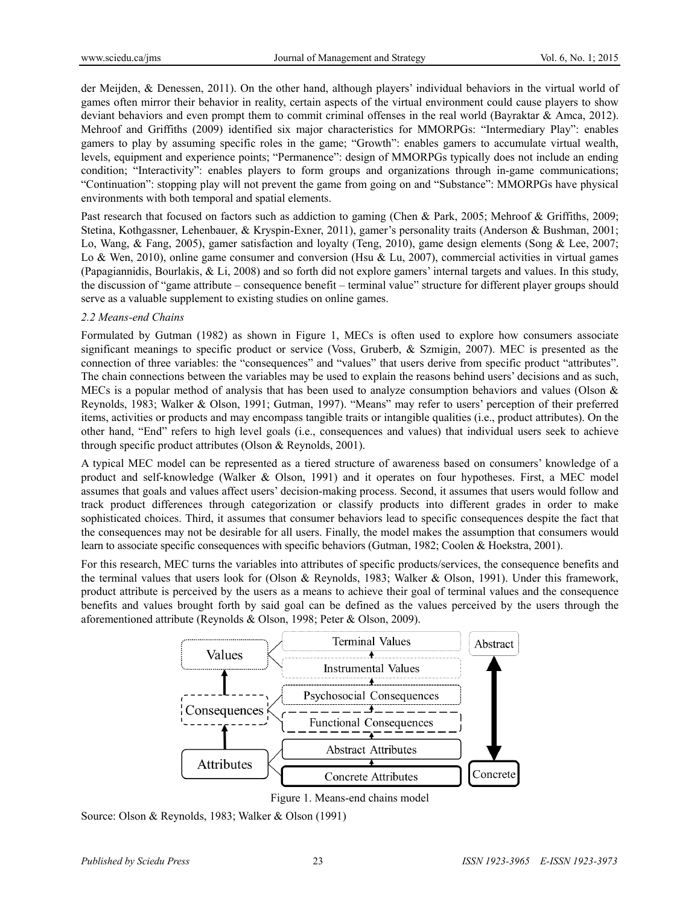der Meijden, & Denessen, 2011). On the other hand, although players' individual behaviors in the virtual world of games often mirror their behavior in reality, certain aspects of the virtual environment could cause players to show deviant behaviors and even prompt them to commit criminal offenses in the real world (Bayraktar & Amca, 2012). Mehroof and Griffiths (2009) identified six major characteristics for MMORPGs: "Intermediary Play": enables gamers to play by assuming specific roles in the game; "Growth": enables gamers to accumulate virtual wealth, levels, equipment and experience points; "Permanence": design of MMORPGs typically does not include an ending condition; "Interactivity": enables players to form groups and organizations through in-game communications; "Continuation": stopping play will not prevent the game from going on and "Substance": MMORPGs have physical environments with both temporal and spatial elements.

Past research that focused on factors such as addiction to gaming (Chen & Park, 2005; Mehroof & Griffiths, 2009; Stetina, Kothgassner, Lehenbauer, & Kryspin-Exner, 2011), gamer's personality traits (Anderson & Bushman, 2001; Lo, Wang, & Fang, 2005), gamer satisfaction and loyalty (Teng, 2010), game design elements (Song & Lee, 2007; Lo & Wen, 2010), online game consumer and conversion (Hsu & Lu, 2007), commercial activities in virtual games (Papagiannidis, Bourlakis, & Li, 2008) and so forth did not explore gamers' internal targets and values. In this study, the discussion of "game attribute – consequence benefit – terminal value" structure for different player groups should serve as a valuable supplement to existing studies on online games.

## *2.2 Means-end Chains*

Formulated by Gutman (1982) as shown in Figure 1, MECs is often used to explore how consumers associate significant meanings to specific product or service (Voss, Gruberb, & Szmigin, 2007). MEC is presented as the connection of three variables: the "consequences" and "values" that users derive from specific product "attributes". The chain connections between the variables may be used to explain the reasons behind users' decisions and as such, MECs is a popular method of analysis that has been used to analyze consumption behaviors and values (Olson & Reynolds, 1983; Walker & Olson, 1991; Gutman, 1997). "Means" may refer to users' perception of their preferred items, activities or products and may encompass tangible traits or intangible qualities (i.e., product attributes). On the other hand, "End" refers to high level goals (i.e., consequences and values) that individual users seek to achieve through specific product attributes (Olson & Reynolds, 2001).

A typical MEC model can be represented as a tiered structure of awareness based on consumers' knowledge of a product and self-knowledge (Walker & Olson, 1991) and it operates on four hypotheses. First, a MEC model assumes that goals and values affect users' decision-making process. Second, it assumes that users would follow and track product differences through categorization or classify products into different grades in order to make sophisticated choices. Third, it assumes that consumer behaviors lead to specific consequences despite the fact that the consequences may not be desirable for all users. Finally, the model makes the assumption that consumers would learn to associate specific consequences with specific behaviors (Gutman, 1982; Coolen & Hoekstra, 2001).

For this research, MEC turns the variables into attributes of specific products/services, the consequence benefits and the terminal values that users look for (Olson & Reynolds, 1983; Walker & Olson, 1991). Under this framework, product attribute is perceived by the users as a means to achieve their goal of terminal values and the consequence benefits and values brought forth by said goal can be defined as the values perceived by the users through the aforementioned attribute (Reynolds & Olson, 1998; Peter & Olson, 2009).



Figure 1. Means-end chains model

Source: Olson & Reynolds, 1983; Walker & Olson (1991)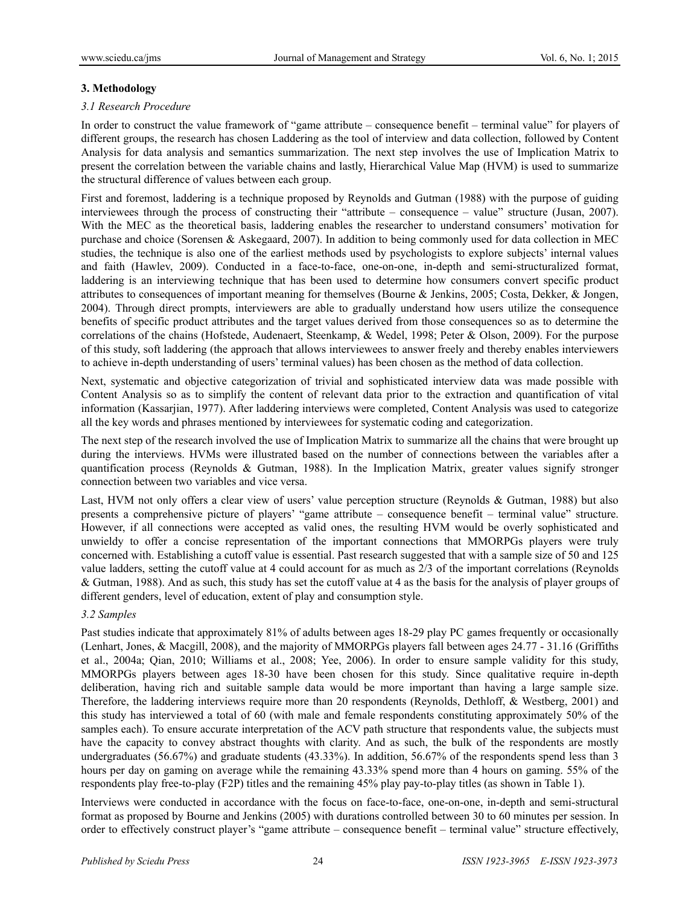## **3. Methodology**

#### *3.1 Research Procedure*

In order to construct the value framework of "game attribute – consequence benefit – terminal value" for players of different groups, the research has chosen Laddering as the tool of interview and data collection, followed by Content Analysis for data analysis and semantics summarization. The next step involves the use of Implication Matrix to present the correlation between the variable chains and lastly, Hierarchical Value Map (HVM) is used to summarize the structural difference of values between each group.

First and foremost, laddering is a technique proposed by Reynolds and Gutman (1988) with the purpose of guiding interviewees through the process of constructing their "attribute – consequence – value" structure (Jusan, 2007). With the MEC as the theoretical basis, laddering enables the researcher to understand consumers' motivation for purchase and choice (Sorensen & Askegaard, 2007). In addition to being commonly used for data collection in MEC studies, the technique is also one of the earliest methods used by psychologists to explore subjects' internal values and faith (Hawlev, 2009). Conducted in a face-to-face, one-on-one, in-depth and semi-structuralized format, laddering is an interviewing technique that has been used to determine how consumers convert specific product attributes to consequences of important meaning for themselves (Bourne & Jenkins, 2005; Costa, Dekker, & Jongen, 2004). Through direct prompts, interviewers are able to gradually understand how users utilize the consequence benefits of specific product attributes and the target values derived from those consequences so as to determine the correlations of the chains (Hofstede, Audenaert, Steenkamp, & Wedel, 1998; Peter & Olson, 2009). For the purpose of this study, soft laddering (the approach that allows interviewees to answer freely and thereby enables interviewers to achieve in-depth understanding of users' terminal values) has been chosen as the method of data collection.

Next, systematic and objective categorization of trivial and sophisticated interview data was made possible with Content Analysis so as to simplify the content of relevant data prior to the extraction and quantification of vital information (Kassarjian, 1977). After laddering interviews were completed, Content Analysis was used to categorize all the key words and phrases mentioned by interviewees for systematic coding and categorization.

The next step of the research involved the use of Implication Matrix to summarize all the chains that were brought up during the interviews. HVMs were illustrated based on the number of connections between the variables after a quantification process (Reynolds & Gutman, 1988). In the Implication Matrix, greater values signify stronger connection between two variables and vice versa.

Last, HVM not only offers a clear view of users' value perception structure (Reynolds & Gutman, 1988) but also presents a comprehensive picture of players' "game attribute – consequence benefit – terminal value" structure. However, if all connections were accepted as valid ones, the resulting HVM would be overly sophisticated and unwieldy to offer a concise representation of the important connections that MMORPGs players were truly concerned with. Establishing a cutoff value is essential. Past research suggested that with a sample size of 50 and 125 value ladders, setting the cutoff value at 4 could account for as much as 2/3 of the important correlations (Reynolds & Gutman, 1988). And as such, this study has set the cutoff value at 4 as the basis for the analysis of player groups of different genders, level of education, extent of play and consumption style.

#### *3.2 Samples*

Past studies indicate that approximately 81% of adults between ages 18-29 play PC games frequently or occasionally (Lenhart, Jones, & Macgill, 2008), and the majority of MMORPGs players fall between ages 24.77 - 31.16 (Griffiths et al., 2004a; Qian, 2010; Williams et al., 2008; Yee, 2006). In order to ensure sample validity for this study, MMORPGs players between ages 18-30 have been chosen for this study. Since qualitative require in-depth deliberation, having rich and suitable sample data would be more important than having a large sample size. Therefore, the laddering interviews require more than 20 respondents (Reynolds, Dethloff, & Westberg, 2001) and this study has interviewed a total of 60 (with male and female respondents constituting approximately 50% of the samples each). To ensure accurate interpretation of the ACV path structure that respondents value, the subjects must have the capacity to convey abstract thoughts with clarity. And as such, the bulk of the respondents are mostly undergraduates (56.67%) and graduate students (43.33%). In addition, 56.67% of the respondents spend less than 3 hours per day on gaming on average while the remaining 43.33% spend more than 4 hours on gaming. 55% of the respondents play free-to-play (F2P) titles and the remaining 45% play pay-to-play titles (as shown in Table 1).

Interviews were conducted in accordance with the focus on face-to-face, one-on-one, in-depth and semi-structural format as proposed by Bourne and Jenkins (2005) with durations controlled between 30 to 60 minutes per session. In order to effectively construct player's "game attribute – consequence benefit – terminal value" structure effectively,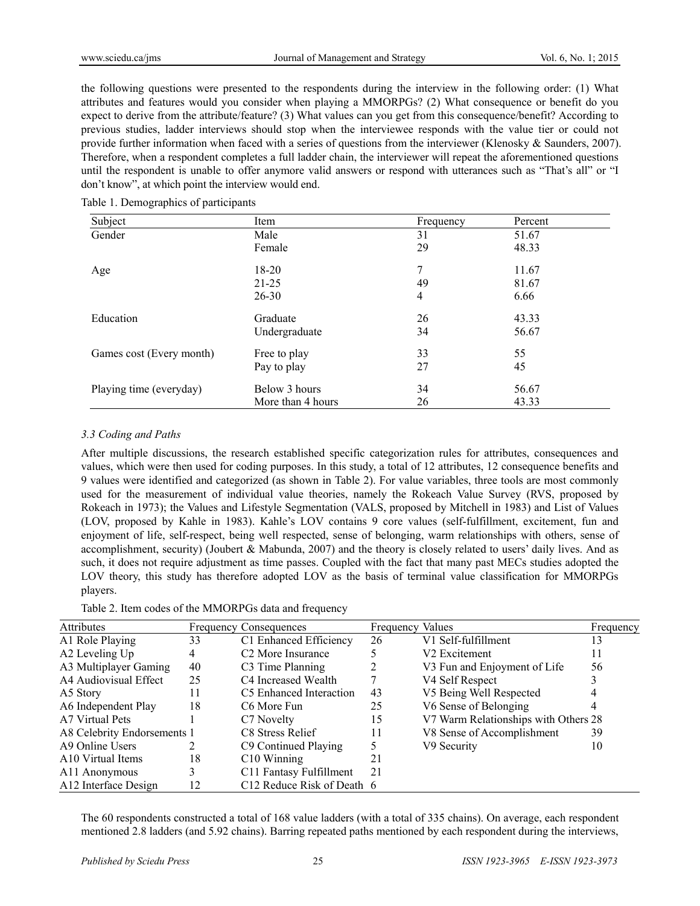the following questions were presented to the respondents during the interview in the following order: (1) What attributes and features would you consider when playing a MMORPGs? (2) What consequence or benefit do you expect to derive from the attribute/feature? (3) What values can you get from this consequence/benefit? According to previous studies, ladder interviews should stop when the interviewee responds with the value tier or could not provide further information when faced with a series of questions from the interviewer (Klenosky & Saunders, 2007). Therefore, when a respondent completes a full ladder chain, the interviewer will repeat the aforementioned questions until the respondent is unable to offer anymore valid answers or respond with utterances such as "That's all" or "I don't know", at which point the interview would end.

| Subject                  | Item              | Frequency | Percent |
|--------------------------|-------------------|-----------|---------|
| Gender                   | Male              | 31        | 51.67   |
|                          | Female            | 29        | 48.33   |
| Age                      | $18 - 20$         | 7         | 11.67   |
|                          | $21 - 25$         | 49        | 81.67   |
|                          | $26 - 30$         | 4         | 6.66    |
| Education                | Graduate          | 26        | 43.33   |
|                          | Undergraduate     | 34        | 56.67   |
| Games cost (Every month) | Free to play      | 33        | 55      |
|                          | Pay to play       | 27        | 45      |
| Playing time (everyday)  | Below 3 hours     | 34        | 56.67   |
|                          | More than 4 hours | 26        | 43.33   |

Table 1. Demographics of participants

#### *3.3 Coding and Paths*

After multiple discussions, the research established specific categorization rules for attributes, consequences and values, which were then used for coding purposes. In this study, a total of 12 attributes, 12 consequence benefits and 9 values were identified and categorized (as shown in Table 2). For value variables, three tools are most commonly used for the measurement of individual value theories, namely the Rokeach Value Survey (RVS, proposed by Rokeach in 1973); the Values and Lifestyle Segmentation (VALS, proposed by Mitchell in 1983) and List of Values (LOV, proposed by Kahle in 1983). Kahle's LOV contains 9 core values (self-fulfillment, excitement, fun and enjoyment of life, self-respect, being well respected, sense of belonging, warm relationships with others, sense of accomplishment, security) (Joubert & Mabunda, 2007) and the theory is closely related to users' daily lives. And as such, it does not require adjustment as time passes. Coupled with the fact that many past MECs studies adopted the LOV theory, this study has therefore adopted LOV as the basis of terminal value classification for MMORPGs players.

Table 2. Item codes of the MMORPGs data and frequency

| Attributes                    |    | <b>Frequency Consequences</b>          | <b>Frequency Values</b> |                                      | Frequency |
|-------------------------------|----|----------------------------------------|-------------------------|--------------------------------------|-----------|
| A1 Role Playing               | 33 | C1 Enhanced Efficiency                 | 26                      | V1 Self-fulfillment                  |           |
| A2 Leveling Up                | 4  | C <sub>2</sub> More Insurance          |                         | V <sub>2</sub> Excitement            | 11        |
| A3 Multiplayer Gaming         | 40 | C <sub>3</sub> Time Planning           |                         | V3 Fun and Enjoyment of Life         | 56        |
| A4 Audiovisual Effect         | 25 | C <sub>4</sub> Increased Wealth        |                         | V4 Self Respect                      |           |
| A5 Story                      | 11 | C5 Enhanced Interaction                | 43                      | V5 Being Well Respected              |           |
| A6 Independent Play           | 18 | C6 More Fun                            | 25                      | V6 Sense of Belonging                |           |
| A7 Virtual Pets               |    | C7 Novelty                             | 15                      | V7 Warm Relationships with Others 28 |           |
| A8 Celebrity Endorsements 1   |    | C8 Stress Relief                       | 11                      | V8 Sense of Accomplishment           | 39        |
| A9 Online Users               |    | C <sub>9</sub> Continued Playing       |                         | V9 Security                          | 10        |
| A <sub>10</sub> Virtual Items | 18 | $C10$ Winning                          | 21                      |                                      |           |
| A <sub>11</sub> Anonymous     | 3  | C11 Fantasy Fulfillment                | 21                      |                                      |           |
| A12 Interface Design          | 12 | C <sub>12</sub> Reduce Risk of Death 6 |                         |                                      |           |

The 60 respondents constructed a total of 168 value ladders (with a total of 335 chains). On average, each respondent mentioned 2.8 ladders (and 5.92 chains). Barring repeated paths mentioned by each respondent during the interviews,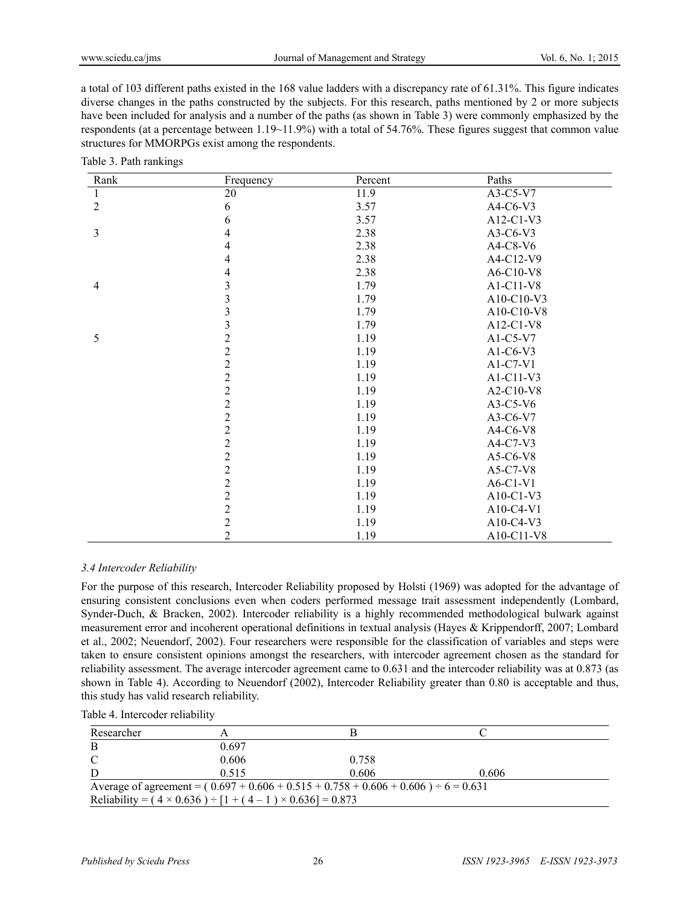a total of 103 different paths existed in the 168 value ladders with a discrepancy rate of 61.31%. This figure indicates diverse changes in the paths constructed by the subjects. For this research, paths mentioned by 2 or more subjects have been included for analysis and a number of the paths (as shown in Table 3) were commonly emphasized by the respondents (at a percentage between 1.19~11.9%) with a total of 54.76%. These figures suggest that common value structures for MMORPGs exist among the respondents.

| Rank           | Frequency                                         | Percent | Paths      |
|----------------|---------------------------------------------------|---------|------------|
| $\mathbf 1$    | $20\,$                                            | 11.9    | A3-C5-V7   |
| $\overline{2}$ | 6                                                 | 3.57    | A4-C6-V3   |
|                | 6                                                 | 3.57    | A12-C1-V3  |
| $\overline{3}$ | $\overline{4}$                                    | 2.38    | $A3-C6-V3$ |
|                | $\overline{4}$                                    | 2.38    | A4-C8-V6   |
|                | $\overline{4}$                                    | 2.38    | A4-C12-V9  |
|                | $\overline{4}$                                    | 2.38    | A6-C10-V8  |
| $\overline{4}$ |                                                   | 1.79    | A1-C11-V8  |
|                |                                                   | 1.79    | A10-C10-V3 |
|                | $\begin{array}{c} 3 \\ 3 \\ 3 \end{array}$        | 1.79    | A10-C10-V8 |
|                | $\begin{array}{c} 3 \\ 2 \\ 2 \\ 2 \end{array}$   | 1.79    | A12-C1-V8  |
| 5              |                                                   | 1.19    | A1-C5-V7   |
|                |                                                   | 1.19    | $A1-C6-V3$ |
|                |                                                   | 1.19    | A1-C7-V1   |
|                |                                                   | 1.19    | A1-C11-V3  |
|                | $\begin{array}{c} 2 \\ 2 \\ 2 \end{array}$        | 1.19    | A2-C10-V8  |
|                |                                                   | 1.19    | $A3-C5-V6$ |
|                |                                                   | 1.19    | A3-C6-V7   |
|                | $\begin{array}{c} 2 \\ 2 \\ 2 \end{array}$        | 1.19    | A4-C6-V8   |
|                |                                                   | 1.19    | A4-C7-V3   |
|                |                                                   | 1.19    | A5-C6-V8   |
|                |                                                   | 1.19    | A5-C7-V8   |
|                |                                                   | 1.19    | A6-C1-V1   |
|                | $\begin{array}{c}\n2 \\ 2 \\ 2 \\ 2\n\end{array}$ | 1.19    | A10-C1-V3  |
|                |                                                   | 1.19    | A10-C4-V1  |
|                |                                                   | 1.19    | A10-C4-V3  |
|                | $\overline{2}$                                    | 1.19    | A10-C11-V8 |

Table 3. Path rankings

## *3.4 Intercoder Reliability*

For the purpose of this research, Intercoder Reliability proposed by Holsti (1969) was adopted for the advantage of ensuring consistent conclusions even when coders performed message trait assessment independently (Lombard, Synder-Duch, & Bracken, 2002). Intercoder reliability is a highly recommended methodological bulwark against measurement error and incoherent operational definitions in textual analysis (Hayes & Krippendorff, 2007; Lombard et al., 2002; Neuendorf, 2002). Four researchers were responsible for the classification of variables and steps were taken to ensure consistent opinions amongst the researchers, with intercoder agreement chosen as the standard for reliability assessment. The average intercoder agreement came to 0.631 and the intercoder reliability was at 0.873 (as shown in Table 4). According to Neuendorf (2002), Intercoder Reliability greater than 0.80 is acceptable and thus, this study has valid research reliability.

|  | Table 4. Intercoder reliability |  |
|--|---------------------------------|--|
|--|---------------------------------|--|

| Researcher                                                                              |       |       |       |  |
|-----------------------------------------------------------------------------------------|-------|-------|-------|--|
|                                                                                         | 0.697 |       |       |  |
|                                                                                         | 0.606 | 0.758 |       |  |
|                                                                                         | 0.515 | 0.606 | 0.606 |  |
| Average of agreement = $(0.697 + 0.606 + 0.515 + 0.758 + 0.606 + 0.606) \div 6 = 0.631$ |       |       |       |  |
| Reliability = $(4 \times 0.636) \div [1 + (4 - 1) \times 0.636] = 0.873$                |       |       |       |  |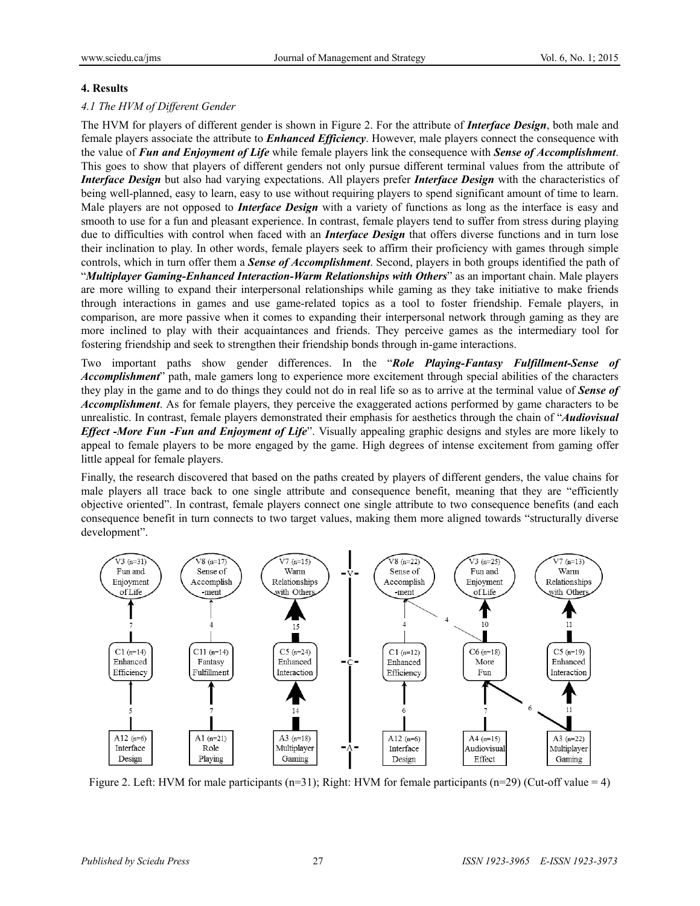#### **4. Results**

### *4.1 The HVM of Different Gender*

The HVM for players of different gender is shown in Figure 2. For the attribute of *Interface Design*, both male and female players associate the attribute to *Enhanced Efficiency*. However, male players connect the consequence with the value of *Fun and Enjoyment of Life* while female players link the consequence with *Sense of Accomplishment*. This goes to show that players of different genders not only pursue different terminal values from the attribute of *Interface Design* but also had varying expectations. All players prefer *Interface Design* with the characteristics of being well-planned, easy to learn, easy to use without requiring players to spend significant amount of time to learn. Male players are not opposed to *Interface Design* with a variety of functions as long as the interface is easy and smooth to use for a fun and pleasant experience. In contrast, female players tend to suffer from stress during playing due to difficulties with control when faced with an *Interface Design* that offers diverse functions and in turn lose their inclination to play. In other words, female players seek to affirm their proficiency with games through simple controls, which in turn offer them a *Sense of Accomplishment*. Second, players in both groups identified the path of "*Multiplayer Gaming-Enhanced Interaction-Warm Relationships with Others*" as an important chain. Male players are more willing to expand their interpersonal relationships while gaming as they take initiative to make friends through interactions in games and use game-related topics as a tool to foster friendship. Female players, in comparison, are more passive when it comes to expanding their interpersonal network through gaming as they are more inclined to play with their acquaintances and friends. They perceive games as the intermediary tool for fostering friendship and seek to strengthen their friendship bonds through in-game interactions.

Two important paths show gender differences. In the "*Role Playing-Fantasy Fulfillment-Sense of Accomplishment*" path, male gamers long to experience more excitement through special abilities of the characters they play in the game and to do things they could not do in real life so as to arrive at the terminal value of *Sense of Accomplishment*. As for female players, they perceive the exaggerated actions performed by game characters to be unrealistic. In contrast, female players demonstrated their emphasis for aesthetics through the chain of "*Audiovisual Effect -More Fun -Fun and Enjoyment of Life*". Visually appealing graphic designs and styles are more likely to appeal to female players to be more engaged by the game. High degrees of intense excitement from gaming offer little appeal for female players.

Finally, the research discovered that based on the paths created by players of different genders, the value chains for male players all trace back to one single attribute and consequence benefit, meaning that they are "efficiently objective oriented". In contrast, female players connect one single attribute to two consequence benefits (and each consequence benefit in turn connects to two target values, making them more aligned towards "structurally diverse development".



Figure 2. Left: HVM for male participants (n=31); Right: HVM for female participants (n=29) (Cut-off value = 4)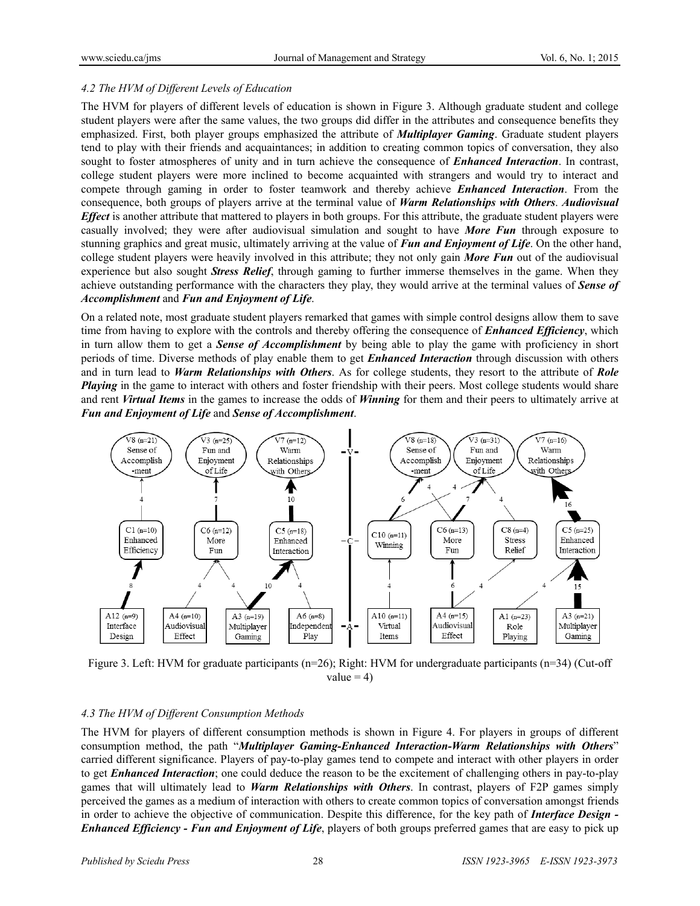## *4.2 The HVM of Different Levels of Education*

The HVM for players of different levels of education is shown in Figure 3. Although graduate student and college student players were after the same values, the two groups did differ in the attributes and consequence benefits they emphasized. First, both player groups emphasized the attribute of *Multiplayer Gaming*. Graduate student players tend to play with their friends and acquaintances; in addition to creating common topics of conversation, they also sought to foster atmospheres of unity and in turn achieve the consequence of *Enhanced Interaction*. In contrast, college student players were more inclined to become acquainted with strangers and would try to interact and compete through gaming in order to foster teamwork and thereby achieve *Enhanced Interaction*. From the consequence, both groups of players arrive at the terminal value of *Warm Relationships with Others*. *Audiovisual Effect* is another attribute that mattered to players in both groups. For this attribute, the graduate student players were casually involved; they were after audiovisual simulation and sought to have *More Fun* through exposure to stunning graphics and great music, ultimately arriving at the value of *Fun and Enjoyment of Life*. On the other hand, college student players were heavily involved in this attribute; they not only gain *More Fun* out of the audiovisual experience but also sought *Stress Relief*, through gaming to further immerse themselves in the game. When they achieve outstanding performance with the characters they play, they would arrive at the terminal values of *Sense of Accomplishment* and *Fun and Enjoyment of Life*.

On a related note, most graduate student players remarked that games with simple control designs allow them to save time from having to explore with the controls and thereby offering the consequence of *Enhanced Efficiency*, which in turn allow them to get a *Sense of Accomplishment* by being able to play the game with proficiency in short periods of time. Diverse methods of play enable them to get *Enhanced Interaction* through discussion with others and in turn lead to *Warm Relationships with Others*. As for college students, they resort to the attribute of *Role Playing* in the game to interact with others and foster friendship with their peers. Most college students would share and rent *Virtual Items* in the games to increase the odds of *Winning* for them and their peers to ultimately arrive at *Fun and Enjoyment of Life* and *Sense of Accomplishment*.



Figure 3. Left: HVM for graduate participants ( $n=26$ ); Right: HVM for undergraduate participants ( $n=34$ ) (Cut-off value  $= 4$ )

## *4.3 The HVM of Different Consumption Methods*

The HVM for players of different consumption methods is shown in Figure 4. For players in groups of different consumption method, the path "*Multiplayer Gaming-Enhanced Interaction-Warm Relationships with Others*" carried different significance. Players of pay-to-play games tend to compete and interact with other players in order to get *Enhanced Interaction*; one could deduce the reason to be the excitement of challenging others in pay-to-play games that will ultimately lead to *Warm Relationships with Others*. In contrast, players of F2P games simply perceived the games as a medium of interaction with others to create common topics of conversation amongst friends in order to achieve the objective of communication. Despite this difference, for the key path of *Interface Design - Enhanced Efficiency - Fun and Enjoyment of Life*, players of both groups preferred games that are easy to pick up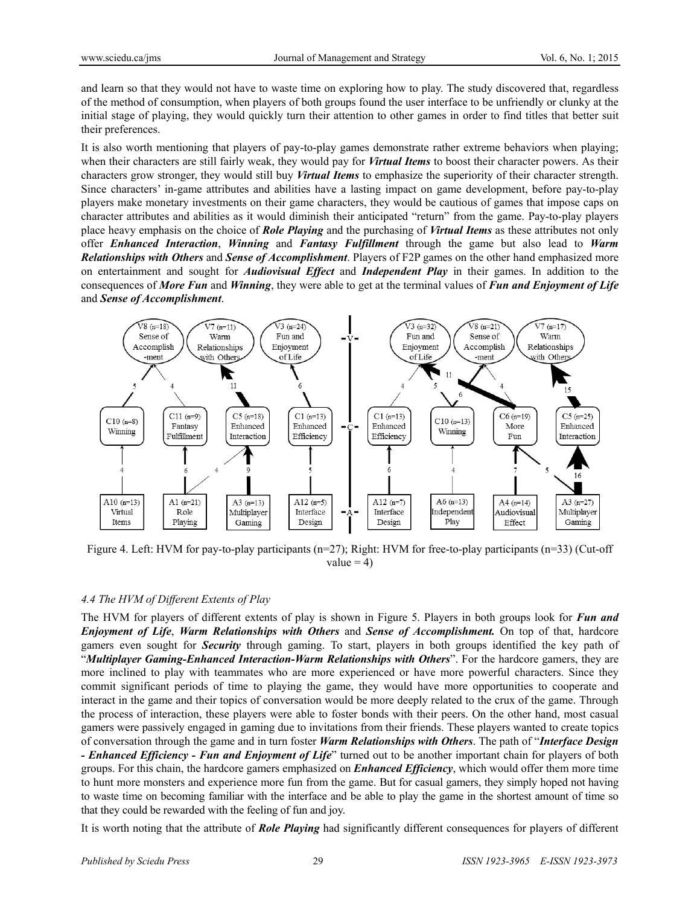and learn so that they would not have to waste time on exploring how to play. The study discovered that, regardless of the method of consumption, when players of both groups found the user interface to be unfriendly or clunky at the initial stage of playing, they would quickly turn their attention to other games in order to find titles that better suit their preferences.

It is also worth mentioning that players of pay-to-play games demonstrate rather extreme behaviors when playing; when their characters are still fairly weak, they would pay for *Virtual Items* to boost their character powers. As their characters grow stronger, they would still buy *Virtual Items* to emphasize the superiority of their character strength. Since characters' in-game attributes and abilities have a lasting impact on game development, before pay-to-play players make monetary investments on their game characters, they would be cautious of games that impose caps on character attributes and abilities as it would diminish their anticipated "return" from the game. Pay-to-play players place heavy emphasis on the choice of *Role Playing* and the purchasing of *Virtual Items* as these attributes not only offer *Enhanced Interaction*, *Winning* and *Fantasy Fulfillment* through the game but also lead to *Warm Relationships with Others* and *Sense of Accomplishment*. Players of F2P games on the other hand emphasized more on entertainment and sought for *Audiovisual Effect* and *Independent Play* in their games. In addition to the consequences of *More Fun* and *Winning*, they were able to get at the terminal values of *Fun and Enjoyment of Life* and *Sense of Accomplishment*.



Figure 4. Left: HVM for pay-to-play participants (n=27); Right: HVM for free-to-play participants (n=33) (Cut-off value  $= 4$ )

## *4.4 The HVM of Different Extents of Play*

The HVM for players of different extents of play is shown in Figure 5. Players in both groups look for *Fun and Enjoyment of Life*, *Warm Relationships with Others* and *Sense of Accomplishment.* On top of that, hardcore gamers even sought for *Security* through gaming. To start, players in both groups identified the key path of "*Multiplayer Gaming-Enhanced Interaction-Warm Relationships with Others*". For the hardcore gamers, they are more inclined to play with teammates who are more experienced or have more powerful characters. Since they commit significant periods of time to playing the game, they would have more opportunities to cooperate and interact in the game and their topics of conversation would be more deeply related to the crux of the game. Through the process of interaction, these players were able to foster bonds with their peers. On the other hand, most casual gamers were passively engaged in gaming due to invitations from their friends. These players wanted to create topics of conversation through the game and in turn foster *Warm Relationships with Others*. The path of "*Interface Design - Enhanced Efficiency - Fun and Enjoyment of Life*" turned out to be another important chain for players of both groups. For this chain, the hardcore gamers emphasized on *Enhanced Efficiency*, which would offer them more time to hunt more monsters and experience more fun from the game. But for casual gamers, they simply hoped not having to waste time on becoming familiar with the interface and be able to play the game in the shortest amount of time so that they could be rewarded with the feeling of fun and joy.

It is worth noting that the attribute of *Role Playing* had significantly different consequences for players of different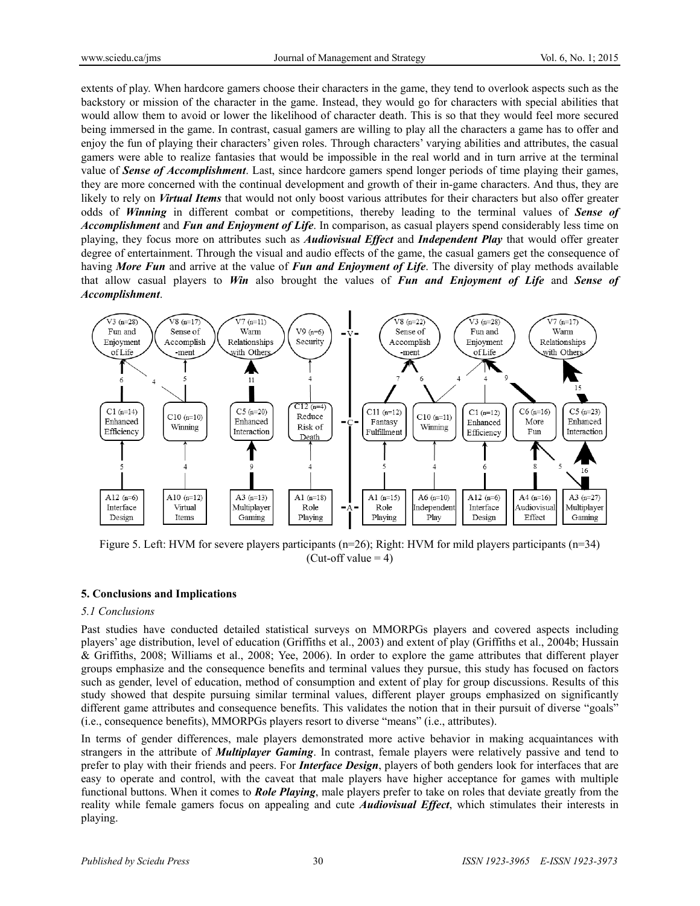extents of play. When hardcore gamers choose their characters in the game, they tend to overlook aspects such as the backstory or mission of the character in the game. Instead, they would go for characters with special abilities that would allow them to avoid or lower the likelihood of character death. This is so that they would feel more secured being immersed in the game. In contrast, casual gamers are willing to play all the characters a game has to offer and enjoy the fun of playing their characters' given roles. Through characters' varying abilities and attributes, the casual gamers were able to realize fantasies that would be impossible in the real world and in turn arrive at the terminal value of *Sense of Accomplishment*. Last, since hardcore gamers spend longer periods of time playing their games, they are more concerned with the continual development and growth of their in-game characters. And thus, they are likely to rely on *Virtual Items* that would not only boost various attributes for their characters but also offer greater odds of *Winning* in different combat or competitions, thereby leading to the terminal values of *Sense of Accomplishment* and *Fun and Enjoyment of Life*. In comparison, as casual players spend considerably less time on playing, they focus more on attributes such as *Audiovisual Effect* and *Independent Play* that would offer greater degree of entertainment. Through the visual and audio effects of the game, the casual gamers get the consequence of having *More Fun* and arrive at the value of *Fun and Enjoyment of Life*. The diversity of play methods available that allow casual players to *Win* also brought the values of *Fun and Enjoyment of Life* and *Sense of Accomplishment*.



Figure 5. Left: HVM for severe players participants (n=26); Right: HVM for mild players participants (n=34) (Cut-off value  $= 4$ )

## **5. Conclusions and Implications**

## *5.1 Conclusions*

Past studies have conducted detailed statistical surveys on MMORPGs players and covered aspects including players' age distribution, level of education (Griffiths et al., 2003) and extent of play (Griffiths et al., 2004b; Hussain & Griffiths, 2008; Williams et al., 2008; Yee, 2006). In order to explore the game attributes that different player groups emphasize and the consequence benefits and terminal values they pursue, this study has focused on factors such as gender, level of education, method of consumption and extent of play for group discussions. Results of this study showed that despite pursuing similar terminal values, different player groups emphasized on significantly different game attributes and consequence benefits. This validates the notion that in their pursuit of diverse "goals" (i.e., consequence benefits), MMORPGs players resort to diverse "means" (i.e., attributes).

In terms of gender differences, male players demonstrated more active behavior in making acquaintances with strangers in the attribute of *Multiplayer Gaming*. In contrast, female players were relatively passive and tend to prefer to play with their friends and peers. For *Interface Design*, players of both genders look for interfaces that are easy to operate and control, with the caveat that male players have higher acceptance for games with multiple functional buttons. When it comes to *Role Playing*, male players prefer to take on roles that deviate greatly from the reality while female gamers focus on appealing and cute *Audiovisual Effect*, which stimulates their interests in playing.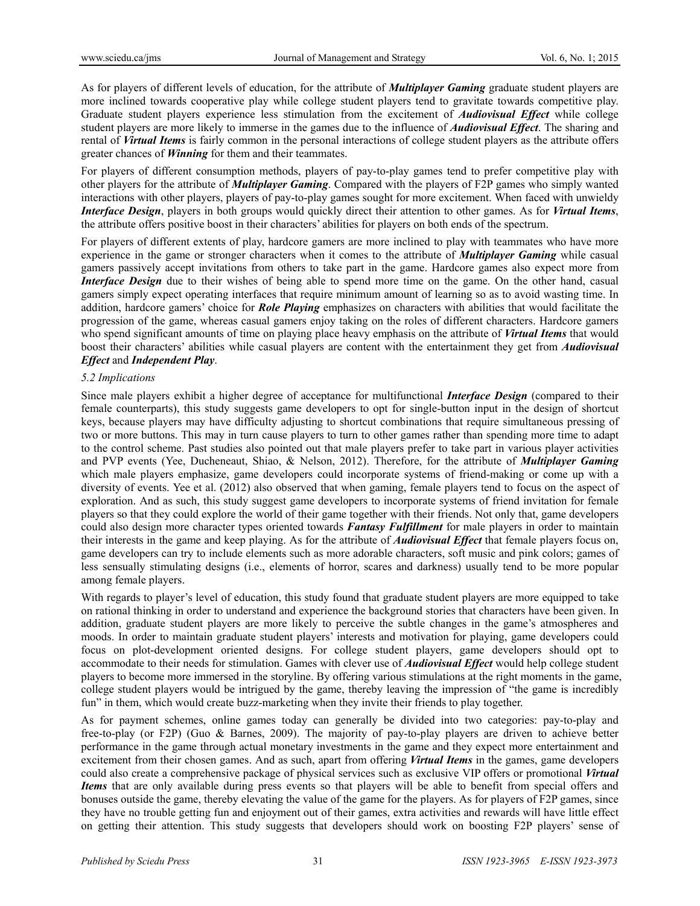As for players of different levels of education, for the attribute of *Multiplayer Gaming* graduate student players are more inclined towards cooperative play while college student players tend to gravitate towards competitive play. Graduate student players experience less stimulation from the excitement of *Audiovisual Effect* while college student players are more likely to immerse in the games due to the influence of *Audiovisual Effect*. The sharing and rental of *Virtual Items* is fairly common in the personal interactions of college student players as the attribute offers greater chances of *Winning* for them and their teammates.

For players of different consumption methods, players of pay-to-play games tend to prefer competitive play with other players for the attribute of *Multiplayer Gaming*. Compared with the players of F2P games who simply wanted interactions with other players, players of pay-to-play games sought for more excitement. When faced with unwieldy *Interface Design*, players in both groups would quickly direct their attention to other games. As for *Virtual Items*, the attribute offers positive boost in their characters' abilities for players on both ends of the spectrum.

For players of different extents of play, hardcore gamers are more inclined to play with teammates who have more experience in the game or stronger characters when it comes to the attribute of *Multiplayer Gaming* while casual gamers passively accept invitations from others to take part in the game. Hardcore games also expect more from *Interface Design* due to their wishes of being able to spend more time on the game. On the other hand, casual gamers simply expect operating interfaces that require minimum amount of learning so as to avoid wasting time. In addition, hardcore gamers' choice for *Role Playing* emphasizes on characters with abilities that would facilitate the progression of the game, whereas casual gamers enjoy taking on the roles of different characters. Hardcore gamers who spend significant amounts of time on playing place heavy emphasis on the attribute of *Virtual Items* that would boost their characters' abilities while casual players are content with the entertainment they get from *Audiovisual Effect* and *Independent Play*.

## *5.2 Implications*

Since male players exhibit a higher degree of acceptance for multifunctional *Interface Design* (compared to their female counterparts), this study suggests game developers to opt for single-button input in the design of shortcut keys, because players may have difficulty adjusting to shortcut combinations that require simultaneous pressing of two or more buttons. This may in turn cause players to turn to other games rather than spending more time to adapt to the control scheme. Past studies also pointed out that male players prefer to take part in various player activities and PVP events (Yee, Ducheneaut, Shiao, & Nelson, 2012). Therefore, for the attribute of *Multiplayer Gaming*  which male players emphasize, game developers could incorporate systems of friend-making or come up with a diversity of events. Yee et al. (2012) also observed that when gaming, female players tend to focus on the aspect of exploration. And as such, this study suggest game developers to incorporate systems of friend invitation for female players so that they could explore the world of their game together with their friends. Not only that, game developers could also design more character types oriented towards *Fantasy Fulfillment* for male players in order to maintain their interests in the game and keep playing. As for the attribute of *Audiovisual Effect* that female players focus on, game developers can try to include elements such as more adorable characters, soft music and pink colors; games of less sensually stimulating designs (i.e., elements of horror, scares and darkness) usually tend to be more popular among female players.

With regards to player's level of education, this study found that graduate student players are more equipped to take on rational thinking in order to understand and experience the background stories that characters have been given. In addition, graduate student players are more likely to perceive the subtle changes in the game's atmospheres and moods. In order to maintain graduate student players' interests and motivation for playing, game developers could focus on plot-development oriented designs. For college student players, game developers should opt to accommodate to their needs for stimulation. Games with clever use of *Audiovisual Effect* would help college student players to become more immersed in the storyline. By offering various stimulations at the right moments in the game, college student players would be intrigued by the game, thereby leaving the impression of "the game is incredibly fun" in them, which would create buzz-marketing when they invite their friends to play together.

As for payment schemes, online games today can generally be divided into two categories: pay-to-play and free-to-play (or F2P) (Guo & Barnes, 2009). The majority of pay-to-play players are driven to achieve better performance in the game through actual monetary investments in the game and they expect more entertainment and excitement from their chosen games. And as such, apart from offering *Virtual Items* in the games, game developers could also create a comprehensive package of physical services such as exclusive VIP offers or promotional *Virtual Items* that are only available during press events so that players will be able to benefit from special offers and bonuses outside the game, thereby elevating the value of the game for the players. As for players of F2P games, since they have no trouble getting fun and enjoyment out of their games, extra activities and rewards will have little effect on getting their attention. This study suggests that developers should work on boosting F2P players' sense of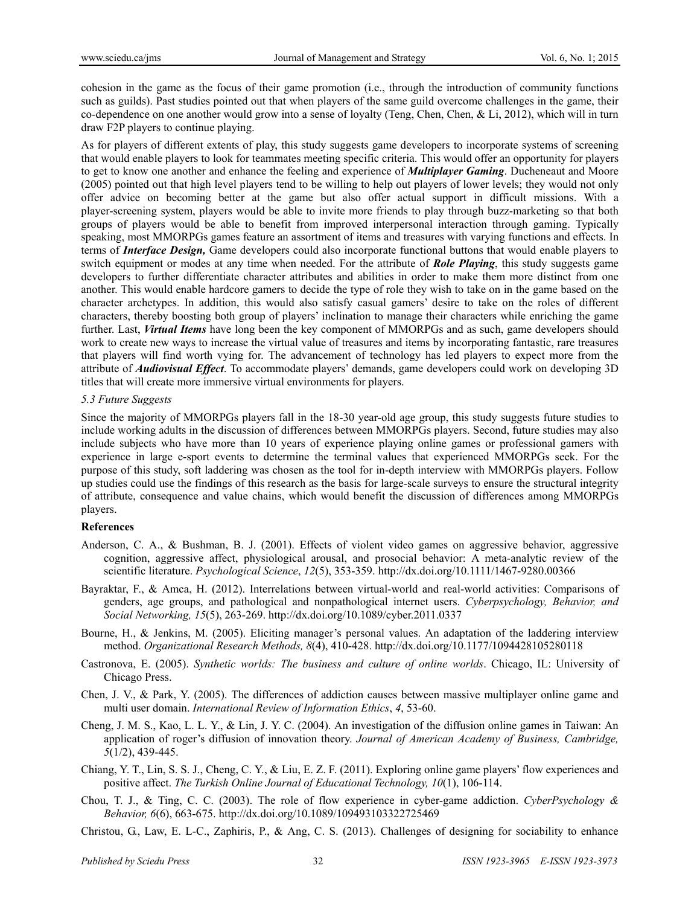cohesion in the game as the focus of their game promotion (i.e., through the introduction of community functions such as guilds). Past studies pointed out that when players of the same guild overcome challenges in the game, their co-dependence on one another would grow into a sense of loyalty (Teng, Chen, Chen, & Li, 2012), which will in turn draw F2P players to continue playing.

As for players of different extents of play, this study suggests game developers to incorporate systems of screening that would enable players to look for teammates meeting specific criteria. This would offer an opportunity for players to get to know one another and enhance the feeling and experience of *Multiplayer Gaming*. Ducheneaut and Moore (2005) pointed out that high level players tend to be willing to help out players of lower levels; they would not only offer advice on becoming better at the game but also offer actual support in difficult missions. With a player-screening system, players would be able to invite more friends to play through buzz-marketing so that both groups of players would be able to benefit from improved interpersonal interaction through gaming. Typically speaking, most MMORPGs games feature an assortment of items and treasures with varying functions and effects. In terms of *Interface Design,* Game developers could also incorporate functional buttons that would enable players to switch equipment or modes at any time when needed. For the attribute of *Role Playing*, this study suggests game developers to further differentiate character attributes and abilities in order to make them more distinct from one another. This would enable hardcore gamers to decide the type of role they wish to take on in the game based on the character archetypes. In addition, this would also satisfy casual gamers' desire to take on the roles of different characters, thereby boosting both group of players' inclination to manage their characters while enriching the game further. Last, *Virtual Items* have long been the key component of MMORPGs and as such, game developers should work to create new ways to increase the virtual value of treasures and items by incorporating fantastic, rare treasures that players will find worth vying for. The advancement of technology has led players to expect more from the attribute of *Audiovisual Effect*. To accommodate players' demands, game developers could work on developing 3D titles that will create more immersive virtual environments for players.

#### *5.3 Future Suggests*

Since the majority of MMORPGs players fall in the 18-30 year-old age group, this study suggests future studies to include working adults in the discussion of differences between MMORPGs players. Second, future studies may also include subjects who have more than 10 years of experience playing online games or professional gamers with experience in large e-sport events to determine the terminal values that experienced MMORPGs seek. For the purpose of this study, soft laddering was chosen as the tool for in-depth interview with MMORPGs players. Follow up studies could use the findings of this research as the basis for large-scale surveys to ensure the structural integrity of attribute, consequence and value chains, which would benefit the discussion of differences among MMORPGs players.

#### **References**

- Anderson, C. A., & Bushman, B. J. (2001). Effects of violent video games on aggressive behavior, aggressive cognition, aggressive affect, physiological arousal, and prosocial behavior: A meta-analytic review of the scientific literature. *Psychological Science*, *12*(5), 353-359. http://dx.doi.org/10.1111/1467-9280.00366
- Bayraktar, F., & Amca, H. (2012). Interrelations between virtual-world and real-world activities: Comparisons of genders, age groups, and pathological and nonpathological internet users. *Cyberpsychology, Behavior, and Social Networking, 15*(5), 263-269. http://dx.doi.org/10.1089/cyber.2011.0337
- Bourne, H., & Jenkins, M. (2005). Eliciting manager's personal values. An adaptation of the laddering interview method. *Organizational Research Methods, 8*(4), 410-428. http://dx.doi.org/10.1177/1094428105280118
- Castronova, E. (2005). *Synthetic worlds: The business and culture of online worlds*. Chicago, IL: University of Chicago Press.
- Chen, J. V., & Park, Y. (2005). The differences of addiction causes between massive multiplayer online game and multi user domain. *International Review of Information Ethics*, *4*, 53-60.
- Cheng, J. M. S., Kao, L. L. Y., & Lin, J. Y. C. (2004). An investigation of the diffusion online games in Taiwan: An application of roger's diffusion of innovation theory. *Journal of American Academy of Business, Cambridge, 5*(1/2), 439-445.
- Chiang, Y. T., Lin, S. S. J., Cheng, C. Y., & Liu, E. Z. F. (2011). Exploring online game players' flow experiences and positive affect. *The Turkish Online Journal of Educational Technology, 10*(1), 106-114.
- Chou, T. J., & Ting, C. C. (2003). The role of flow experience in cyber-game addiction. *CyberPsychology & Behavior, 6*(6), 663-675. http://dx.doi.org/10.1089/109493103322725469
- Christou, G., Law, E. L-C., Zaphiris, P., & Ang, C. S. (2013). Challenges of designing for sociability to enhance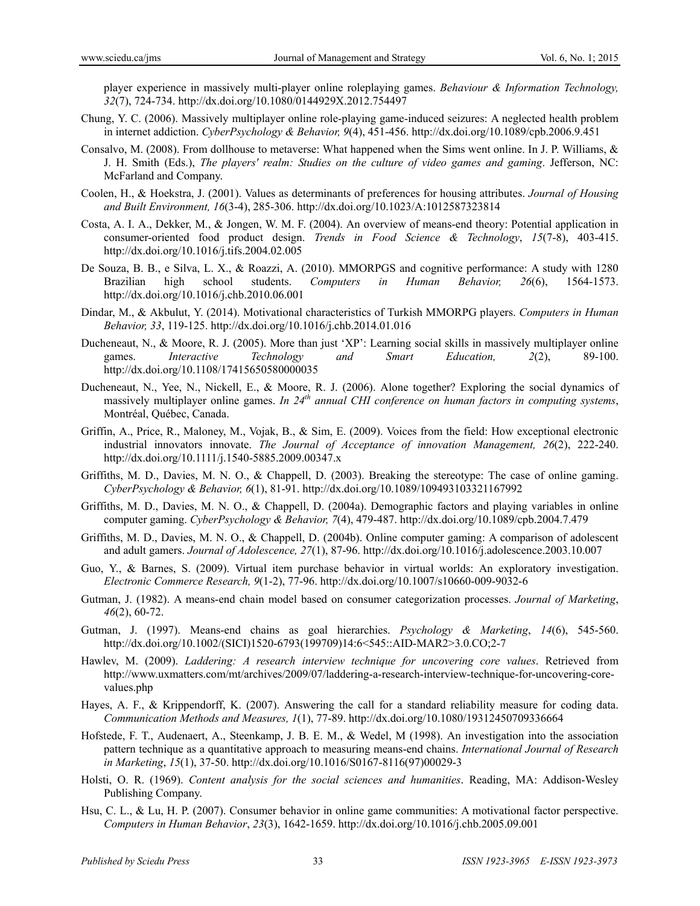player experience in massively multi-player online roleplaying games. *Behaviour & Information Technology, 32*(7), 724-734. http://dx.doi.org/10.1080/0144929X.2012.754497

- Chung, Y. C. (2006). Massively multiplayer online role-playing game-induced seizures: A neglected health problem in internet addiction. *CyberPsychology & Behavior, 9*(4), 451-456. http://dx.doi.org/10.1089/cpb.2006.9.451
- Consalvo, M. (2008). From dollhouse to metaverse: What happened when the Sims went online. In J. P. Williams, & J. H. Smith (Eds.), *The players' realm: Studies on the culture of video games and gaming*. Jefferson, NC: McFarland and Company.
- Coolen, H., & Hoekstra, J. (2001). Values as determinants of preferences for housing attributes. *Journal of Housing and Built Environment, 16*(3-4), 285-306. http://dx.doi.org/10.1023/A:1012587323814
- Costa, A. I. A., Dekker, M., & Jongen, W. M. F. (2004). An overview of means-end theory: Potential application in consumer-oriented food product design. *Trends in Food Science & Technology*, *15*(7-8), 403-415. http://dx.doi.org/10.1016/j.tifs.2004.02.005
- De Souza, B. B., e Silva, L. X., & Roazzi, A. (2010). MMORPGS and cognitive performance: A study with 1280 Brazilian high school students. *Computers in Human Behavior, 26*(6), 1564-1573. http://dx.doi.org/10.1016/j.chb.2010.06.001
- Dindar, M., & Akbulut, Y. (2014). Motivational characteristics of Turkish MMORPG players. *Computers in Human Behavior, 33*, 119-125. http://dx.doi.org/10.1016/j.chb.2014.01.016
- Ducheneaut, N., & Moore, R. J. (2005). More than just 'XP': Learning social skills in massively multiplayer online games. *Interactive Technology and Smart Education, 2*(2), 89-100. http://dx.doi.org/10.1108/17415650580000035
- Ducheneaut, N., Yee, N., Nickell, E., & Moore, R. J. (2006). Alone together? Exploring the social dynamics of massively multiplayer online games. *In 24th annual CHI conference on human factors in computing systems*, Montréal, Québec, Canada.
- Griffin, A., Price, R., Maloney, M., Vojak, B., & Sim, E. (2009). Voices from the field: How exceptional electronic industrial innovators innovate. *The Journal of Acceptance of innovation Management, 26*(2), 222-240. http://dx.doi.org/10.1111/j.1540-5885.2009.00347.x
- Griffiths, M. D., Davies, M. N. O., & Chappell, D. (2003). Breaking the stereotype: The case of online gaming. *CyberPsychology & Behavior, 6*(1), 81-91. http://dx.doi.org/10.1089/109493103321167992
- Griffiths, M. D., Davies, M. N. O., & Chappell, D. (2004a). Demographic factors and playing variables in online computer gaming. *CyberPsychology & Behavior, 7*(4), 479-487. http://dx.doi.org/10.1089/cpb.2004.7.479
- Griffiths, M. D., Davies, M. N. O., & Chappell, D. (2004b). Online computer gaming: A comparison of adolescent and adult gamers. *Journal of Adolescence, 27*(1), 87-96. http://dx.doi.org/10.1016/j.adolescence.2003.10.007
- Guo, Y., & Barnes, S. (2009). Virtual item purchase behavior in virtual worlds: An exploratory investigation. *Electronic Commerce Research, 9*(1-2), 77-96. http://dx.doi.org/10.1007/s10660-009-9032-6
- Gutman, J. (1982). A means-end chain model based on consumer categorization processes. *Journal of Marketing*, *46*(2), 60-72.
- Gutman, J. (1997). Means-end chains as goal hierarchies. *Psychology & Marketing*, *14*(6), 545-560. http://dx.doi.org/10.1002/(SICI)1520-6793(199709)14:6<545::AID-MAR2>3.0.CO;2-7
- Hawlev, M. (2009). *Laddering: A research interview technique for uncovering core values*. Retrieved from http://www.uxmatters.com/mt/archives/2009/07/laddering-a-research-interview-technique-for-uncovering-corevalues.php
- Hayes, A. F., & Krippendorff, K. (2007). Answering the call for a standard reliability measure for coding data. *Communication Methods and Measures, 1*(1), 77-89. http://dx.doi.org/10.1080/19312450709336664
- Hofstede, F. T., Audenaert, A., Steenkamp, J. B. E. M., & Wedel, M (1998). An investigation into the association pattern technique as a quantitative approach to measuring means-end chains. *International Journal of Research in Marketing*, *15*(1), 37-50. http://dx.doi.org/10.1016/S0167-8116(97)00029-3
- Holsti, O. R. (1969). *Content analysis for the social sciences and humanities*. Reading, MA: Addison-Wesley Publishing Company.
- Hsu, C. L., & Lu, H. P. (2007). Consumer behavior in online game communities: A motivational factor perspective. *Computers in Human Behavior*, *23*(3), 1642-1659. http://dx.doi.org/10.1016/j.chb.2005.09.001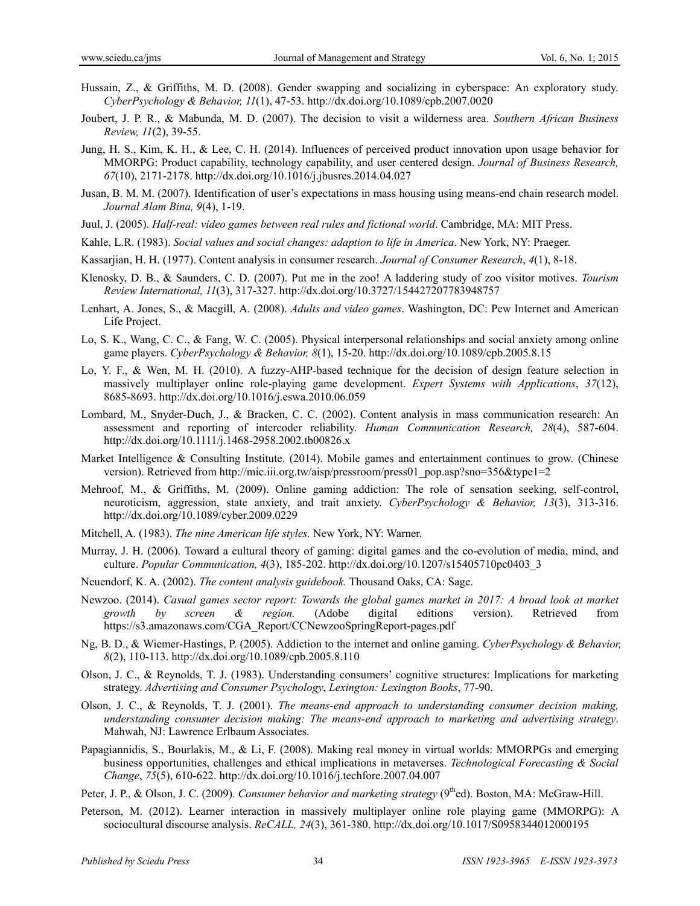- Hussain, Z., & Griffiths, M. D. (2008). Gender swapping and socializing in cyberspace: An exploratory study. *CyberPsychology & Behavior, 11*(1), 47-53. http://dx.doi.org/10.1089/cpb.2007.0020
- Joubert, J. P. R., & Mabunda, M. D. (2007). The decision to visit a wilderness area. *Southern African Business Review, 11*(2), 39-55.
- Jung, H. S., Kim, K. H., & Lee, C. H. (2014). Influences of perceived product innovation upon usage behavior for MMORPG: Product capability, technology capability, and user centered design. *Journal of Business Research, 67*(10), 2171-2178. http://dx.doi.org/10.1016/j.jbusres.2014.04.027
- Jusan, B. M. M. (2007). Identification of user's expectations in mass housing using means-end chain research model. *Journal Alam Bina, 9*(4), 1-19.
- Juul, J. (2005). *Half-real: video games between real rules and fictional world*. Cambridge, MA: MIT Press.
- Kahle, L.R. (1983). *Social values and social changes: adaption to life in America*. New York, NY: Praeger.
- Kassarjian, H. H. (1977). Content analysis in consumer research. *Journal of Consumer Research*, *4*(1), 8-18.
- Klenosky, D. B., & Saunders, C. D. (2007). Put me in the zoo! A laddering study of zoo visitor motives. *Tourism Review International, 11*(3), 317-327. http://dx.doi.org/10.3727/154427207783948757
- Lenhart, A. Jones, S., & Macgill, A. (2008). *Adults and video games*. Washington, DC: Pew Internet and American Life Project.
- Lo, S. K., Wang, C. C., & Fang, W. C. (2005). Physical interpersonal relationships and social anxiety among online game players. *CyberPsychology & Behavior, 8*(1), 15-20. http://dx.doi.org/10.1089/cpb.2005.8.15
- Lo, Y. F., & Wen, M. H. (2010). A fuzzy-AHP-based technique for the decision of design feature selection in massively multiplayer online role-playing game development. *Expert Systems with Applications*, *37*(12), 8685-8693. http://dx.doi.org/10.1016/j.eswa.2010.06.059
- Lombard, M., Snyder-Duch, J., & Bracken, C. C. (2002). Content analysis in mass communication research: An assessment and reporting of intercoder reliability. *Human Communication Research, 28*(4), 587-604. http://dx.doi.org/10.1111/j.1468-2958.2002.tb00826.x
- Market Intelligence & Consulting Institute. (2014). Mobile games and entertainment continues to grow. (Chinese version). Retrieved from http://mic.iii.org.tw/aisp/pressroom/press01\_pop.asp?sno=356&type1=2
- Mehroof, M., & Griffiths, M. (2009). Online gaming addiction: The role of sensation seeking, self-control, neuroticism, aggression, state anxiety, and trait anxiety. *CyberPsychology & Behavior, 13*(3), 313-316. http://dx.doi.org/10.1089/cyber.2009.0229
- Mitchell, A. (1983). *The nine American life styles.* New York, NY: Warner.
- Murray, J. H. (2006). Toward a cultural theory of gaming: digital games and the co-evolution of media, mind, and culture. *Popular Communication, 4*(3), 185-202. http://dx.doi.org/10.1207/s15405710pc0403\_3
- Neuendorf, K. A. (2002). *The content analysis guidebook.* Thousand Oaks, CA: Sage.
- Newzoo. (2014). *Casual games sector report: Towards the global games market in 2017: A broad look at market growth by screen & region.* (Adobe digital editions version). Retrieved from https://s3.amazonaws.com/CGA\_Report/CCNewzooSpringReport-pages.pdf
- Ng, B. D., & Wiemer-Hastings, P. (2005). Addiction to the internet and online gaming. *CyberPsychology & Behavior, 8*(2), 110-113. http://dx.doi.org/10.1089/cpb.2005.8.110
- Olson, J. C., & Reynolds, T. J. (1983). Understanding consumers' cognitive structures: Implications for marketing strategy. *Advertising and Consumer Psychology*, *Lexington: Lexington Books*, 77-90.
- Olson, J. C., & Reynolds, T. J. (2001). *The means-end approach to understanding consumer decision making, understanding consumer decision making: The means-end approach to marketing and advertising strategy*. Mahwah, NJ: Lawrence Erlbaum Associates.
- Papagiannidis, S., Bourlakis, M., & Li, F. (2008). Making real money in virtual worlds: MMORPGs and emerging business opportunities, challenges and ethical implications in metaverses. *Technological Forecasting & Social Change*, *75*(5), 610-622. http://dx.doi.org/10.1016/j.techfore.2007.04.007

Peter, J. P., & Olson, J. C. (2009). *Consumer behavior and marketing strategy* (9<sup>th</sup>ed). Boston, MA: McGraw-Hill.

Peterson, M. (2012). Learner interaction in massively multiplayer online role playing game (MMORPG): A sociocultural discourse analysis. *ReCALL, 24*(3), 361-380. http://dx.doi.org/10.1017/S0958344012000195